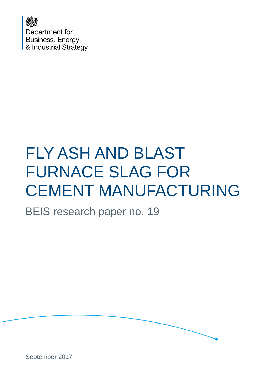

# FLY ASH AND BLAST FURNACE SLAG FOR CEMENT MANUFACTURING

BEIS research paper no. 19



September 2017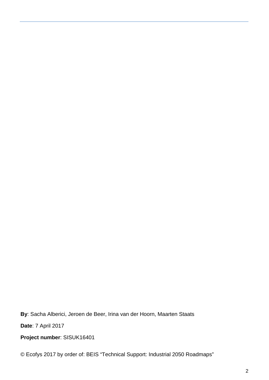**By**: Sacha Alberici, Jeroen de Beer, Irina van der Hoorn, Maarten Staats

**Date**: 7 April 2017

**Project number**: SISUK16401

© Ecofys 2017 by order of: BEIS "Technical Support: Industrial 2050 Roadmaps"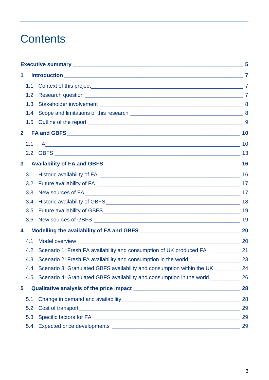## **Contents**

|                         |                                                                                     | 5  |
|-------------------------|-------------------------------------------------------------------------------------|----|
| 1                       |                                                                                     |    |
| 1.1                     |                                                                                     |    |
| 1.2                     |                                                                                     |    |
| 1.3                     |                                                                                     |    |
| 1.4                     |                                                                                     |    |
| 1.5                     |                                                                                     |    |
| $\mathbf{2}$            |                                                                                     |    |
|                         |                                                                                     |    |
|                         |                                                                                     |    |
| $\mathbf{3}$            |                                                                                     | 16 |
| 3.1                     |                                                                                     | 16 |
| 3.2                     |                                                                                     |    |
| 3.3                     |                                                                                     |    |
| 3.4                     |                                                                                     |    |
| 3.5                     |                                                                                     |    |
| 3.6                     |                                                                                     |    |
| 4                       |                                                                                     |    |
| 4.1                     |                                                                                     |    |
| 4.2                     | Scenario 1: Fresh FA availability and consumption of UK produced FA ____________ 21 |    |
| 4.3                     |                                                                                     |    |
| 4.4                     | Scenario 3: Granulated GBFS availability and consumption within the UK ________ 24  |    |
| 4.5                     | Scenario 4: Granulated GBFS availability and consumption in the world__________     | 26 |
| $\overline{\mathbf{5}}$ |                                                                                     | 28 |
| 5.1                     |                                                                                     | 28 |
| 5.2                     |                                                                                     | 29 |
| 5.3                     |                                                                                     | 29 |
| 5.4                     |                                                                                     | 29 |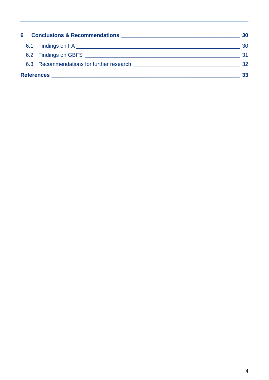| 6                 | <b>Conclusions &amp; Recommendations And American Service Conclusions Area Concernsive Concernsive Concernsive Concernsive Concernsive Concernsive Concernsive Concernsive Concernsive Concernsive Concernsive Concernsive Concernsi</b> | 30  |
|-------------------|------------------------------------------------------------------------------------------------------------------------------------------------------------------------------------------------------------------------------------------|-----|
|                   |                                                                                                                                                                                                                                          | 30  |
|                   | 6.2 Findings on GBFS <b>Contract Contract Contract Contract Contract Contract Contract Contract Contract Contract Contract Contract Contract Contract Contract Contract Contract Contract Contract Contract Contract Contract Co</b>     | :31 |
|                   | 6.3 Recommendations for further research example to the state of the state of the state of the state of the state of the state of the state of the state of the state of the state of the state of the state of the state of t           | 32  |
| <b>References</b> |                                                                                                                                                                                                                                          | 33  |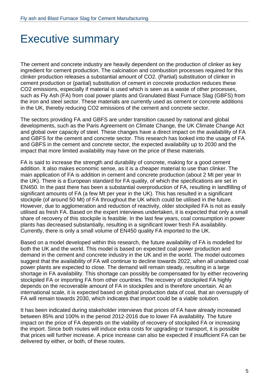## <span id="page-4-0"></span>Executive summary

The cement and concrete industry are heavily dependent on the production of clinker as key ingredient for cement production. The calcination and combustion processes required for this clinker production releases a substantial amount of CO2. (Partial) substitution of clinker in cement production or (partial) substitution of cement in concrete production reduces these CO2 emissions, especially if material is used which is seen as a waste of other processes, such as Fly Ash (FA) from coal power plants and Granulated Blast Furnace Slag (GBFS) from the iron and steel sector. These materials are currently used as cement or concrete additions in the UK, thereby reducing CO2 emissions of the cement and concrete sector.

The sectors providing FA and GBFS are under transition caused by national and global developments, such as the Paris Agreement on Climate Change, the UK Climate Change Act and global over capacity of steel. These changes have a direct impact on the availability of FA and GBFS for the cement and concrete sector. This research has looked into the usage of FA and GBFS in the cement and concrete sector, the expected availability up to 2030 and the impact that more limited availability may have on the price of these materials.

FA is said to increase the strength and durability of concrete, making for a good cement addition. It also makes economic sense, as it is a cheaper material to use than clinker. The main application of FA is addition in cement and concrete production (about 2 Mt per year In the UK). There is a European standard for FA quality, of which the specifications are set in EN450. In the past there has been a substantial overproduction of FA, resulting in landfilling of significant amounts of FA (a few Mt per year in the UK). This has resulted in a significant stockpile (of around 50 Mt) of FA throughout the UK which could be utilised in the future. However, due to agglomeration and reduction of reactivity, older stockpiled FA is not as easily utilised as fresh FA. Based on the expert interviews undertaken, it is expected that only a small share of recovery of this stockpile is feasible. In the last few years, coal consumption in power plants has decreased substantially, resulting in a significant lower fresh FA availability. Currently, there is only a small volume of EN450 quality FA imported to the UK.

Based on a model developed within this research, the future availability of FA is modelled for both the UK and the world. This model is based on expected coal power production and demand in the cement and concrete industry in the UK and in the world. The model outcomes suggest that the availability of FA will continue to decline towards 2022, when all unabated coal power plants are expected to close. The demand will remain steady, resulting in a large shortage in FA availability. This shortage can possibly be compensated for by either recovering stockpiled FA or importing FA from other countries. The recovery of stockpiled FA highly depends on the recoverable amount of FA in stockpiles and is therefore uncertain. At an international scale, it is expected based on global production data of coal, that an oversupply of FA will remain towards 2030, which indicates that import could be a viable solution.

It has been indicated during stakeholder interviews that prices of FA have already increased between 85% and 100% in the period 2012-2016 due to lower FA availability. The future impact on the price of FA depends on the viability of recovery of stockpiled FA or increasing the import. Since both routes will induce extra costs for upgrading or transport, it is possible that prices will further increase. A price increase can also be expected if insufficient FA can be delivered by either, or both, of these routes.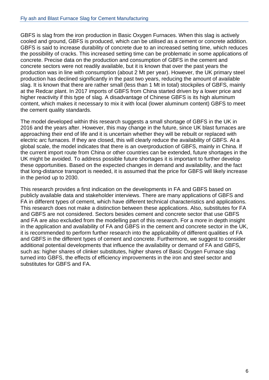GBFS is slag from the iron production in Basic Oxygen Furnaces. When this slag is actively cooled and ground, GBFS is produced, which can be utilised as a cement or concrete addition. GBFS is said to increase durability of concrete due to an increased setting time, which reduces the possibility of cracks. This increased setting time can be problematic in some applications of concrete. Precise data on the production and consumption of GBFS in the cement and concrete sectors were not readily available, but it is known that over the past years the production was in line with consumption (about 2 Mt per year). However, the UK primary steel production has declined significantly in the past two years, reducing the amount of available slag. It is known that there are rather small (less than 1 Mt in total) stockpiles of GBFS, mainly at the Redcar plant. In 2017 imports of GBFS from China started driven by a lower price and higher reactivity if this type of slag. A disadvantage of Chinese GBFS is its high aluminum content, which makes it necessary to mix it with local (lower aluminum content) GBFS to meet the cement quality standards.

The model developed within this research suggests a small shortage of GBFS in the UK in 2016 and the years after. However, this may change in the future, since UK blast furnaces are approaching their end of life and it is uncertain whether they will be rebuilt or replaced with electric arc furnaces. If they are closed, this will clearly reduce the availability of GBFS. At a global scale, the model indicates that there is an overproduction of GBFS, mainly in China. If the current import route from China or other countries can be extended, future shortages in the UK might be avoided. To address possible future shortages it is important to further develop these opportunities. Based on the expected changes in demand and availability, and the fact that long-distance transport is needed, it is assumed that the price for GBFS will likely increase in the period up to 2030.

This research provides a first indication on the developments in FA and GBFS based on publicly available data and stakeholder interviews. There are many applications of GBFS and FA in different types of cement, which have different technical characteristics and applications. This research does not make a distinction between these applications. Also, substitutes for FA and GBFS are not considered. Sectors besides cement and concrete sector that use GBFS and FA are also excluded from the modelling part of this research. For a more in depth insight in the application and availability of FA and GBFS in the cement and concrete sector in the UK, it is recommended to perform further research into the applicability of different qualities of FA and GBFS in the different types of cement and concrete. Furthermore, we suggest to consider additional potential developments that influence the availability or demand of FA and GBFS. such as: higher shares of clinker substitutes, higher shares of Basic Oxygen Furnace slag turned into GBFS, the effects of efficiency improvements in the iron and steel sector and substitutes for GBFS and FA.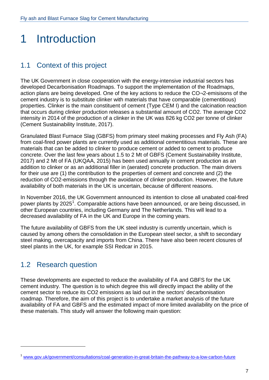## <span id="page-6-0"></span>1 Introduction

## <span id="page-6-1"></span>1.1 Context of this project

The UK Government in close cooperation with the energy-intensive industrial sectors has developed Decarbonisation Roadmaps. To support the implementation of the Roadmaps, action plans are being developed. One of the key actions to reduce the CO¬2-emisisons of the cement industry is to substitute clinker with materials that have comparable (cementitious) properties. Clinker is the main constituent of cement (Type CEM I) and the calcination reaction that occurs during clinker production releases a substantial amount of CO2. The average CO2 intensity in 2014 of the production of a clinker in the UK was 826 kg CO2 per tonne of clinker (Cement Sustainability Institute, 2017).

Granulated Blast Furnace Slag (GBFS) from primary steel making processes and Fly Ash (FA) from coal-fired power plants are currently used as additional cementitious materials. These are materials that can be added to clinker to produce cement or added to cement to produce concrete. Over the last few years about 1.5 to 2 Mt of GBFS (Cement Sustainability Institute, 2017) and 2 Mt of FA (UKQAA, 2015) has been used annually in cement production as an addition to clinker or as an additional filler in (aerated) concrete production. The main drivers for their use are (1) the contribution to the properties of cement and concrete and (2) the reduction of CO2-emissions through the avoidance of clinker production. However, the future availability of both materials in the UK is uncertain, because of different reasons.

In November 2016, the UK Government announced its intention to close all unabated coal-fired power plants by 2025<sup>[1](#page-6-3)</sup>. Comparable actions have been announced, or are being discussed, in other European countries, including Germany and The Netherlands. This will lead to a decreased availability of FA in the UK and Europe in the coming years.

The future availability of GBFS from the UK steel industry is currently uncertain, which is caused by among others the consolidation in the European steel sector, a shift to secondary steel making, overcapacity and imports from China. There have also been recent closures of steel plants in the UK, for example SSI Redcar in 2015.

## <span id="page-6-2"></span>1.2 Research question

-

These developments are expected to reduce the availability of FA and GBFS for the UK cement industry. The question is to which degree this will directly impact the ability of the cement sector to reduce its CO2 emissions as laid out in the sectors' decarbonisation roadmap. Therefore, the aim of this project is to undertake a market analysis of the future availability of FA and GBFS and the estimated impact of more limited availability on the price of these materials. This study will answer the following main question:

<span id="page-6-3"></span><sup>&</sup>lt;sup>1</sup> www.gov.uk/government/consultations/coal-generation-in-great-britain-the-pathway-to-a-low-carbon-future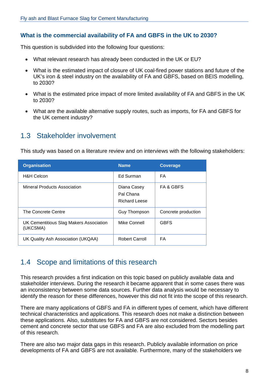#### **What is the commercial availability of FA and GBFS in the UK to 2030?**

This question is subdivided into the following four questions:

- What relevant research has already been conducted in the UK or EU?
- What is the estimated impact of closure of UK coal-fired power stations and future of the UK's iron & steel industry on the availability of FA and GBFS, based on BEIS modelling, to 2030?
- What is the estimated price impact of more limited availability of FA and GBFS in the UK to 2030?
- What are the available alternative supply routes, such as imports, for FA and GBFS for the UK cement industry?

### <span id="page-7-0"></span>1.3 Stakeholder involvement

This study was based on a literature review and on interviews with the following stakeholders:

| <b>Organisation</b>                                 | <b>Name</b>                                      | <b>Coverage</b>      |
|-----------------------------------------------------|--------------------------------------------------|----------------------|
| <b>H&amp;H Celcon</b>                               | Ed Surman                                        | FA.                  |
| Mineral Products Association                        | Diana Casey<br>Pal Chana<br><b>Richard Leese</b> | <b>FA &amp; GBFS</b> |
| The Concrete Centre                                 | Guy Thompson                                     | Concrete production  |
| UK Cementitious Slag Makers Association<br>(UKCSMA) | Mike Connell                                     | <b>GBFS</b>          |
| UK Quality Ash Association (UKQAA)                  | <b>Robert Carroll</b>                            | FA.                  |

### <span id="page-7-1"></span>1.4 Scope and limitations of this research

This research provides a first indication on this topic based on publicly available data and stakeholder interviews. During the research it became apparent that in some cases there was an inconsistency between some data sources. Further data analysis would be necessary to identify the reason for these differences, however this did not fit into the scope of this research.

There are many applications of GBFS and FA in different types of cement, which have different technical characteristics and applications. This research does not make a distinction between these applications. Also, substitutes for FA and GBFS are not considered. Sectors besides cement and concrete sector that use GBFS and FA are also excluded from the modelling part of this research.

There are also two major data gaps in this research. Publicly available information on price developments of FA and GBFS are not available. Furthermore, many of the stakeholders we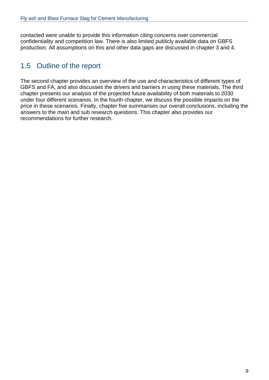contacted were unable to provide this information citing concerns over commercial confidentiality and competition law. There is also limited publicly available data on GBFS production. All assumptions on this and other data gaps are discussed in chapter 3 and 4.

## <span id="page-8-0"></span>1.5 Outline of the report

The second chapter provides an overview of the use and characteristics of different types of GBFS and FA, and also discusses the drivers and barriers in using these materials. The third chapter presents our analysis of the projected future availability of both materials to 2030 under four different scenarios. In the fourth chapter, we discuss the possible impacts on the price in these scenarios. Finally, chapter five summarises our overall conclusions, including the answers to the main and sub research questions. This chapter also provides our recommendations for further research.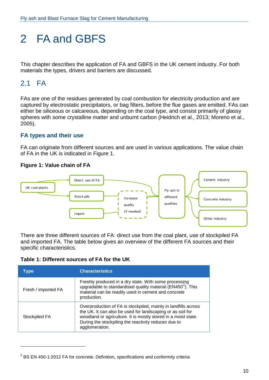## <span id="page-9-0"></span>2 FA and GBFS

<span id="page-9-1"></span>This chapter describes the application of FA and GBFS in the UK cement industry. For both materials the types, drivers and barriers are discussed.

## 2.1 FA

-

FAs are one of the residues generated by coal combustion for electricity production and are captured by electrostatic precipitators, or bag filters, before the flue gases are emitted. FAs can either be siliceous or calcareous, depending on the coal type, and consist primarily of glassy spheres with some crystalline matter and unburnt carbon (Heidrich et al., 2013; Moreno et al., 2005).

#### **FA types and their use**

FA can originate from different sources and are used in various applications. The value chain of FA in the UK is indicated in Figure 1.

#### **Figure 1: Value chain of FA**



There are three different sources of FA: direct use from the coal plant, use of stockpiled FA and imported FA. The table below gives an overview of the different FA sources and their specific characteristics.

#### **Table 1: Different sources of FA for the UK**

| <b>Type</b>         | <b>Characteristics</b>                                                                                                                                                                                                                                                   |
|---------------------|--------------------------------------------------------------------------------------------------------------------------------------------------------------------------------------------------------------------------------------------------------------------------|
| Fresh / imported FA | Freshly produced in a dry state. With some processing<br>upgradable to standardised quality material (EN450 <sup>2</sup> ). This<br>material can be readily used in cement and concrete<br>production.                                                                   |
| Stockpiled FA       | Overproduction of FA is stockpiled, mainly in landfills across<br>the UK. It can also be used for landscaping or as soil for<br>woodland or agriculture. It is mostly stored in a moist state.<br>During the stockpiling the reactivity reduces due to<br>agglomeration. |

<span id="page-9-2"></span> $2$  BS EN 450-1:2012 FA for concrete. Definition, specifications and conformity criteria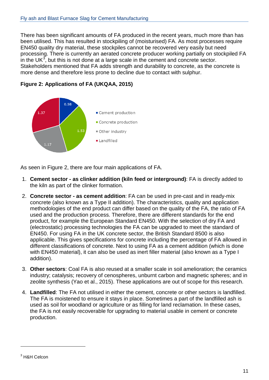There has been significant amounts of FA produced in the recent years, much more than has been utilised. This has resulted in stockpiling of (moisturised) FA. As most processes require EN450 quality dry material, these stockpiles cannot be recovered very easily but need processing. There is currently an aerated concrete producer working partially on stockpiled FA in the UK $^3$  $^3$ , but this is not done at a large scale in the cement and concrete sector. Stakeholders mentioned that FA adds strength and durability to concrete, as the concrete is more dense and therefore less prone to decline due to contact with sulphur.





As seen in Figure 2, there are four main applications of FA.

- 1. **Cement sector as clinker addition (kiln feed or interground)**: FA is directly added to the kiln as part of the clinker formation.
- 2. **Concrete sector as cement addition**: FA can be used in pre-cast and in ready-mix concrete (also known as a Type II addition). The characteristics, quality and application methodologies of the end product can differ based on the quality of the FA, the ratio of FA used and the production process. Therefore, there are different standards for the end product, for example the European Standard EN450. With the selection of dry FA and (electrostatic) processing technologies the FA can be upgraded to meet the standard of EN450. For using FA in the UK concrete sector, the British Standard 8500 is also applicable. This gives specifications for concrete including the percentage of FA allowed in different classifications of concrete. Next to using FA as a cement addition (which is done with EN450 material), it can also be used as inert filler material (also known as a Type I addition).
- 3. **Other sectors**: Coal FA is also reused at a smaller scale in soil amelioration; the ceramics industry; catalysis; recovery of cenospheres, unburnt carbon and magnetic spheres; and in zeolite synthesis (Yao et al., 2015). These applications are out of scope for this research.
- 4. **Landfilled**: The FA not utilised in either the cement, concrete or other sectors is landfilled. The FA is moistened to ensure it stays in place. Sometimes a part of the landfilled ash is used as soil for woodland or agriculture or as filling for land reclamation. In these cases, the FA is not easily recoverable for upgrading to material usable in cement or concrete production.

-

<span id="page-10-0"></span><sup>3</sup> H&H Celcon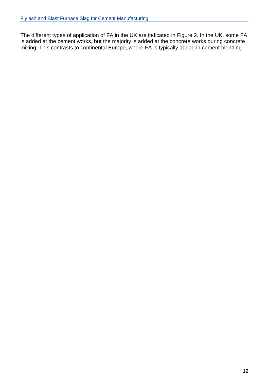The different types of application of FA in the UK are indicated in Figure 2. In the UK, some FA is added at the cement works, but the majority is added at the concrete works during concrete mixing. This contrasts to continental Europe, where FA is typically added in cement blending.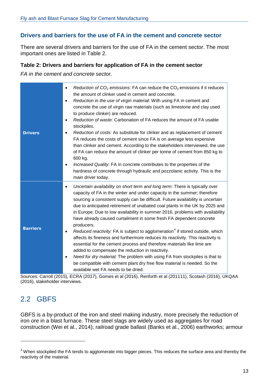#### **Drivers and barriers for the use of FA in the cement and concrete sector**

There are several drivers and barriers for the use of FA in the cement sector. The most important ones are listed in Table 2.

#### **Table 2: Drivers and barriers for application of FA in the cement sector**

*FA in the cement and concrete sector.*

| <b>Drivers</b>  | Reduction of $CO2$ emissions: FA can reduce the $CO2$ emissions if it reduces<br>$\bullet$<br>the amount of clinker used in cement and concrete.<br>Reduction in the use of virgin material: With using FA in cement and<br>$\bullet$<br>concrete the use of virgin raw materials (such as limestone and clay used<br>to produce clinker) are reduced.<br>Reduction of waste: Carbonation of FA reduces the amount of FA usable<br>$\bullet$<br>stockpiles.<br>Reduction of costs: As substitute for clinker and as replacement of cement<br>$\bullet$<br>FA reduces the costs of cement since FA is on average less expensive<br>than clinker and cement. According to the stakeholders interviewed, the use<br>of FA can reduce the amount of clinker per tonne of cement from 850 kg to<br>600 kg.<br>Increased Quality: FA in concrete contributes to the properties of the<br>$\bullet$<br>hardness of concrete through hydraulic and pozzolanic activity. This is the<br>main driver today.                                                     |
|-----------------|-------------------------------------------------------------------------------------------------------------------------------------------------------------------------------------------------------------------------------------------------------------------------------------------------------------------------------------------------------------------------------------------------------------------------------------------------------------------------------------------------------------------------------------------------------------------------------------------------------------------------------------------------------------------------------------------------------------------------------------------------------------------------------------------------------------------------------------------------------------------------------------------------------------------------------------------------------------------------------------------------------------------------------------------------------|
| <b>Barriers</b> | Uncertain availability on short term and long term: There is typically over<br>$\bullet$<br>capacity of FA in the winter and under capacity in the summer; therefore<br>sourcing a consistent supply can be difficult. Future availability is uncertain<br>due to anticipated retirement of unabated coal plants in the UK by 2025 and<br>in Europe. Due to low availability in summer 2016, problems with availability<br>have already caused curtailment in some fresh FA dependent concrete<br>producers.<br>Reduced reactivity: FA is subject to agglomeration <sup>4</sup> if stored outside, which<br>$\bullet$<br>affects its fineness and furthermore reduces its reactivity. This reactivity is<br>essential for the cement process and therefore materials like lime are<br>added to compensate the reduction in reactivity.<br>Need for dry material: The problem with using FA from stockpiles is that to<br>$\bullet$<br>be compatible with cement plant dry free flow material is needed. So the<br>available wet FA needs to be dried. |

Sources: Carroll (2015), ECRA (2017), Gomes et al (2016), Renforth et al (201111), Scotash (2016), UKQAA (2016), stakeholder interviews.

## <span id="page-12-0"></span>2.2 GBFS

<u>.</u>

GBFS is a by-product of the iron and steel making industry, more precisely the reduction of iron ore in a blast furnace. These steel slags are widely used as aggregates for road construction (Wei et al., 2014); railroad grade ballast (Banks et al., 2006) earthworks; armour

<span id="page-12-1"></span><sup>&</sup>lt;sup>4</sup> When stockpiled the FA tends to agglomerate into bigger pieces. This reduces the surface area and thereby the reactivity of the material.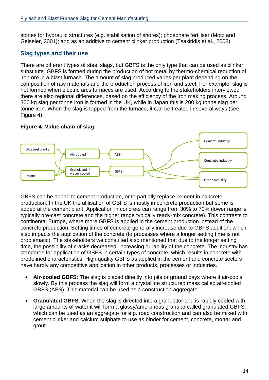stones for hydraulic structures (e.g. stabilisation of shores); phosphate fertiliser (Motz and Geiseler, 2001); and as an additive to cement clinker production (Tsakiridis et al., 2008).

#### **Slag types and their use**

There are different types of steel slags, but GBFS is the only type that can be used as clinker substitute. GBFS is formed during the production of hot metal by thermo-chemical reduction of iron ore in a blast furnace. The amount of slag produced varies per plant depending on the composition of raw materials and the production process of iron and steel. For example, slag is not formed when electric arcs furnaces are used. According to the stakeholders interviewed there are also regional differences, based on the efficiency of the iron making process. Around 300 kg slag per tonne iron is formed in the UK, while in Japan this is 200 kg tonne slag per tonne iron. When the slag is tapped from the furnace, it can be treated in several ways (see Figure 4):

#### **Figure 4: Value chain of slag**



GBFS can be added to cement production, or to partially replace cement in concrete production. In the UK the utilisation of GBFS is mostly in concrete production but some is added at the cement plant. Application in concrete can range from 30% to 70% (lower range is typically pre-cast concrete and the higher range typically ready-mix concrete). This contrasts to continental Europe, where more GBFS is applied in the cement production instead of the concrete production. Setting times of concrete generally increase due to GBFS addition, which also impacts the application of the concrete (to processes where a longer setting time is not problematic). The stakeholders we consulted also mentioned that due to the longer setting time, the possibility of cracks decreased, increasing durability of the concrete. The industry has standards for application of GBFS in certain types of concrete, which results in concrete with predefined characteristics. High quality GBFS as applied in the cement and concrete sectors have hardly any competitive application in other products, processes or industries.

- **Air-cooled GBFS**: The slag is placed directly into pits or ground bays where it air-cools slowly. By this process the slag will form a crystalline structured mass called air-cooled GBFS (ABS). This material can be used as a construction aggregate.
- **Granulated GBFS**: When the slag is directed into a granulator and is rapidly cooled with large amounts of water it will form a glassy/amorphous granular called granulated GBFS, which can be used as an aggregate for e.g. road construction and can also be mixed with cement clinker and calcium sulphate to use as binder for cement, concrete, mortar and grout.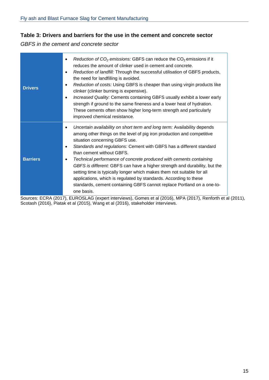#### **Table 3: Drivers and barriers for the use in the cement and concrete sector**

*GBFS in the cement and concrete sector*

| <b>Drivers</b>  | Reduction of $CO2$ emissions: GBFS can reduce the $CO2$ emissions if it<br>$\bullet$<br>reduces the amount of clinker used in cement and concrete.<br>Reduction of landfill: Through the successful utilisation of GBFS products,<br>$\bullet$<br>the need for landfilling is avoided.<br>Reduction of costs: Using GBFS is cheaper than using virgin products like<br>$\bullet$<br>clinker (clinker burning is expensive).<br>Increased Quality: Cements containing GBFS usually exhibit a lower early<br>$\bullet$<br>strength if ground to the same fineness and a lower heat of hydration.<br>These cements often show higher long-term strength and particularly<br>improved chemical resistance.              |
|-----------------|---------------------------------------------------------------------------------------------------------------------------------------------------------------------------------------------------------------------------------------------------------------------------------------------------------------------------------------------------------------------------------------------------------------------------------------------------------------------------------------------------------------------------------------------------------------------------------------------------------------------------------------------------------------------------------------------------------------------|
| <b>Barriers</b> | Uncertain availability on short term and long term: Availability depends<br>٠<br>among other things on the level of pig iron production and competitive<br>situation concerning GBFS use.<br>Standards and regulations: Cement with GBFS has a different standard<br>$\bullet$<br>than cement without GBFS.<br>Technical performance of concrete produced with cements containing<br>$\bullet$<br>GBFS is different: GBFS can have a higher strength and durability, but the<br>setting time is typically longer which makes them not suitable for all<br>applications, which is regulated by standards. According to these<br>standards, cement containing GBFS cannot replace Portland on a one-to-<br>one basis. |

Sources: ECRA (2017), EUROSLAG (expert interviews), Gomes et al (2016), MPA (2017), Renforth et al (2011), Scotash (2016), Piatak et al (2015), Wang et al (2016), stakeholder interviews.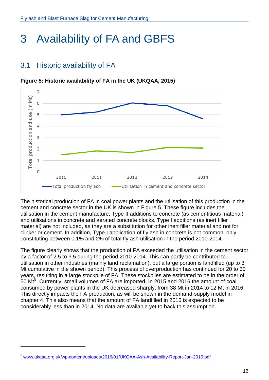## <span id="page-15-0"></span>3 Availability of FA and GBFS

## <span id="page-15-1"></span>3.1 Historic availability of FA



**Figure 5: Historic availability of FA in the UK (UKQAA, 2015)**

The historical production of FA in coal power plants and the utilisation of this production in the cement and concrete sector in the UK is shown in Figure 5. These figure includes the utilisation in the cement manufacture, Type II additions to concrete (as cementitious material) and utilisations in concrete and aerated concrete blocks. Type I additions (as inert filler material) are not included, as they are a substitution for other inert filler material and not for clinker or cement. In addition, Type I application of fly ash in concrete is not common, only constituting between 0.1% and 2% of total fly ash utilisation in the period 2010-2014.

The figure clearly shows that the production of FA exceeded the utilisation in the cement sector by a factor of 2.5 to 3.5 during the period 2010-2014. This can partly be contributed to utilisation in other industries (mainly land reclamation), but a large portion is landfilled (up to 3 Mt cumulative in the shown period). This process of overproduction has continued for 20 to 30 years, resulting in a large stockpile of FA. These stockpiles are estimated to be in the order of [5](#page-15-2)0 Mt<sup>5</sup>. Currently, small volumes of FA are imported. In 2015 and 2016 the amount of coal consumed by power plants in the UK decreased sharply, from 38 Mt in 2014 to 12 Mt in 2016. This directly impacts the FA production, as will be shown in the demand-supply model in chapter 4. This also means that the amount of FA landfilled in 2016 is expected to be considerably less than in 2014. No data are available yet to back this assumption.

-

<span id="page-15-2"></span><sup>5</sup> [www.ukqaa.org.uk/wp-content/uploads/2016/01/UKQAA-Ash-Availability-Report-Jan-2016.pdf](http://www.ukqaa.org.uk/wp-content/uploads/2016/01/UKQAA-Ash-Availability-Report-Jan-2016.pdf)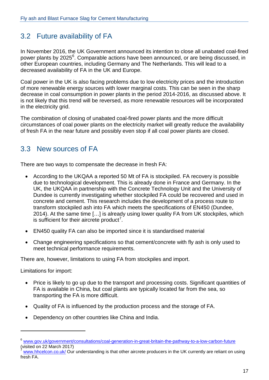## <span id="page-16-0"></span>3.2 Future availability of FA

In November 2016, the UK Government announced its intention to close all unabated coal-fired power plants by 2025<sup>[6](#page-16-2)</sup>. Comparable actions have been announced, or are being discussed, in other European countries, including Germany and The Netherlands. This will lead to a decreased availability of FA in the UK and Europe.

Coal power in the UK is also facing problems due to low electricity prices and the introduction of more renewable energy sources with lower marginal costs. This can be seen in the sharp decrease in coal consumption in power plants in the period 2014-2016, as discussed above. It is not likely that this trend will be reversed, as more renewable resources will be incorporated in the electricity grid.

The combination of closing of unabated coal-fired power plants and the more difficult circumstances of coal power plants on the electricity market will greatly reduce the availability of fresh FA in the near future and possibly even stop if all coal power plants are closed.

### <span id="page-16-1"></span>3.3 New sources of FA

There are two ways to compensate the decrease in fresh FA:

- According to the UKQAA a reported 50 Mt of FA is stockpiled. FA recovery is possible due to technological development. This is already done in France and Germany. In the UK, the UKQAA in partnership with the Concrete Technology Unit and the University of Dundee is currently investigating whether stockpiled FA could be recovered and used in concrete and cement. This research includes the development of a process route to transform stockpiled ash into FA which meets the specifications of EN450 (Dundee, 2014). At the same time […] is already using lower quality FA from UK stockpiles, which is sufficient for their aircrete product<sup>[7](#page-16-3)</sup>.
- EN450 quality FA can also be imported since it is standardised material
- Change engineering specifications so that cement/concrete with fly ash is only used to meet technical performance requirements.

There are, however, limitations to using FA from stockpiles and import.

Limitations for import:

-

- Price is likely to go up due to the transport and processing costs. Significant quantities of FA is available in China, but coal plants are typically located far from the sea, so transporting the FA is more difficult.
- Quality of FA is influenced by the production process and the storage of FA.
- Dependency on other countries like China and India.

<span id="page-16-2"></span><sup>&</sup>lt;sup>6</sup> [www.gov.uk/government/consultations/coal-generation-in-great-britain-the-pathway-to-a-low-carbon-future](https://www.gov.uk/government/consultations/coal-generation-in-great-britain-the-pathway-to-a-low-carbon-future) (visited on 22 March 2017)

<span id="page-16-3"></span>[www.hhcelcon.co.uk/](https://www.hhcelcon.co.uk/) Our understanding is that other aircrete producers in the UK currently are reliant on using fresh FA.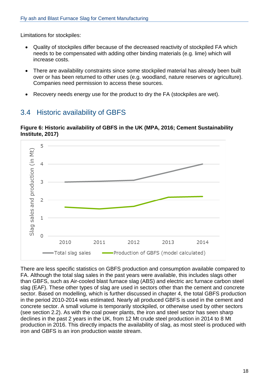Limitations for stockpiles:

- Quality of stockpiles differ because of the decreased reactivity of stockpiled FA which needs to be compensated with adding other binding materials (e.g. lime) which will increase costs.
- There are availability constraints since some stockpiled material has already been built over or has been returned to other uses (e.g. woodland, nature reserves or agriculture). Companies need permission to access these sources.
- Recovery needs energy use for the product to dry the FA (stockpiles are wet).

## <span id="page-17-0"></span>3.4 Historic availability of GBFS



**Figure 6: Historic availability of GBFS in the UK (MPA, 2016; Cement Sustainability Institute, 2017)**

There are less specific statistics on GBFS production and consumption available compared to FA. Although the total slag sales in the past years were available, this includes slags other than GBFS, such as Air-cooled blast furnace slag (ABS) and electric arc furnace carbon steel slag (EAF). These other types of slag are used in sectors other than the cement and concrete sector. Based on modelling, which is further discussed in chapter 4, the total GBFS production in the period 2010-2014 was estimated. Nearly all produced GBFS is used in the cement and concrete sector. A small volume is temporarily stockpiled, or otherwise used by other sectors (see section 2.2). As with the coal power plants, the iron and steel sector has seen sharp declines in the past 2 years in the UK, from 12 Mt crude steel production in 2014 to 8 Mt production in 2016. This directly impacts the availability of slag, as most steel is produced with iron and GBFS is an iron production waste stream.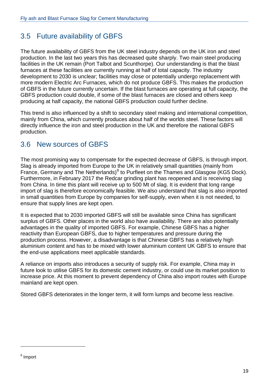## <span id="page-18-0"></span>3.5 Future availability of GBFS

The future availability of GBFS from the UK steel industry depends on the UK iron and steel production. In the last two years this has decreased quite sharply. Two main steel producing facilities in the UK remain (Port Talbot and Scunthorpe). Our understanding is that the blast furnaces at these facilities are currently running at half of total capacity. The industry development to 2030 is unclear; facilities may close or potentially undergo replacement with more modern Electric Arc Furnaces, which do not produce GBFS. This makes the production of GBFS in the future currently uncertain. If the blast furnaces are operating at full capacity, the GBFS production could double, if some of the blast furnaces are closed and others keep producing at half capacity, the national GBFS production could further decline.

This trend is also influenced by a shift to secondary steel making and international competition, mainly from China, which currently produces about half of the worlds steel. These factors will directly influence the iron and steel production in the UK and therefore the national GBFS production.

## <span id="page-18-1"></span>3.6 New sources of GBFS

The most promising way to compensate for the expected decrease of GBFS, is through import. Slag is already imported from Europe to the UK in relatively small quantities (mainly from France, Germany and The Netherlands)<sup>[8](#page-18-2)</sup> to Purfleet on the Thames and Glasgow (KG5 Dock). Furthermore, in February 2017 the Redcar grinding plant has reopened and is receiving slag from China. In time this plant will receive up to 500 Mt of slag. It is evident that long range import of slag is therefore economically feasible. We also understand that slag is also imported in small quantities from Europe by companies for self-supply, even when it is not needed, to ensure that supply lines are kept open.

It is expected that to 2030 imported GBFS will still be available since China has significant surplus of GBFS. Other places in the world also have availability. There are also potentially advantages in the quality of imported GBFS. For example, Chinese GBFS has a higher reactivity than European GBFS, due to higher temperatures and pressure during the production process. However, a disadvantage is that Chinese GBFS has a relatively high aluminium content and has to be mixed with lower aluminium content UK GBFS to ensure that the end-use applications meet applicable standards.

A reliance on imports also introduces a security of supply risk. For example, China may in future look to utilise GBFS for its domestic cement industry, or could use its market position to increase price. At this moment to prevent dependency of China also import routes with Europe mainland are kept open.

Stored GBFS deteriorates in the longer term, it will form lumps and become less reactive.

-

<span id="page-18-2"></span><sup>8</sup> Import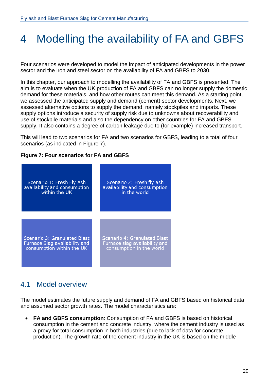## <span id="page-19-0"></span>4 Modelling the availability of FA and GBFS

Four scenarios were developed to model the impact of anticipated developments in the power sector and the iron and steel sector on the availability of FA and GBFS to 2030.

In this chapter, our approach to modelling the availability of FA and GBFS is presented. The aim is to evaluate when the UK production of FA and GBFS can no longer supply the domestic demand for these materials, and how other routes can meet this demand. As a starting point, we assessed the anticipated supply and demand (cement) sector developments. Next, we assessed alternative options to supply the demand, namely stockpiles and imports. These supply options introduce a security of supply risk due to unknowns about recoverability and use of stockpile materials and also the dependency on other countries for FA and GBFS supply. It also contains a degree of carbon leakage due to (for example) increased transport.

This will lead to two scenarios for FA and two scenarios for GBFS, leading to a total of four scenarios (as indicated in Figure 7).

#### **Figure 7: Four scenarios for FA and GBFS**



### <span id="page-19-1"></span>4.1 Model overview

The model estimates the future supply and demand of FA and GBFS based on historical data and assumed sector growth rates. The model characteristics are:

• **FA and GBFS consumption**: Consumption of FA and GBFS is based on historical consumption in the cement and concrete industry, where the cement industry is used as a proxy for total consumption in both industries (due to lack of data for concrete production). The growth rate of the cement industry in the UK is based on the middle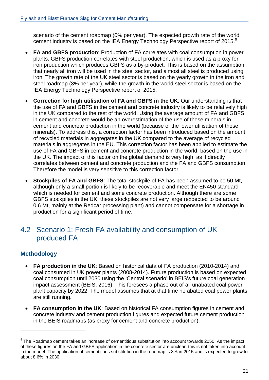scenario of the cement roadmap (0% per year). The expected growth rate of the world cement industry is based on the IEA Energy Technology Perspective report of 2015.<sup>[9](#page-20-1)</sup>

- **FA and GBFS production**: Production of FA correlates with coal consumption in power plants. GBFS production correlates with steel production, which is used as a proxy for iron production which produces GBFS as a by-product. This is based on the assumption that nearly all iron will be used in the steel sector, and almost all steel is produced using iron. The growth rate of the UK steel sector is based on the yearly growth in the iron and steel roadmap (3% per year), while the growth in the world steel sector is based on the IEA Energy Technology Perspective report of 2015.
- **Correction for high utilisation of FA and GBFS in the UK**: Our understanding is that the use of FA and GBFS in the cement and concrete industry is likely to be relatively high in the UK compared to the rest of the world. Using the average amount of FA and GBFS in cement and concrete would be an overestimation of the use of these minerals in cement and concrete production in the world (because of the lower utilisation of these minerals). To address this, a correction factor has been introduced based on the amount of recycled materials in aggregates in the UK compared to the average of recycled materials in aggregates in the EU. This correction factor has been applied to estimate the use of FA and GBFS in cement and concrete production in the world, based on the use in the UK. The impact of this factor on the global demand is very high, as it directly correlates between cement and concrete production and the FA and GBFS consumption. Therefore the model is very sensitive to this correction factor.
- **Stockpiles of FA and GBFS**: The total stockpile of FA has been assumed to be 50 Mt, although only a small portion is likely to be recoverable and meet the EN450 standard which is needed for cement and some concrete production. Although there are some GBFS stockpiles in the UK, these stockpiles are not very large (expected to be around 0.6 Mt, mainly at the Redcar processing plant) and cannot compensate for a shortage in production for a significant period of time.

### <span id="page-20-0"></span>4.2 Scenario 1: Fresh FA availability and consumption of UK produced FA

#### **Methodology**

-

- **FA production in the UK**: Based on historical data of FA production (2010-2014) and coal consumed in UK power plants (2008-2014). Future production is based on expected coal consumption until 2030 using the 'Central scenario' in BEIS's future coal generation impact assessment (BEIS, 2016). This foresees a phase out of all unabated coal power plant capacity by 2022. The model assumes that at that time no abated coal power plants are still running.
- **FA consumption in the UK**: Based on historical FA consumption figures in cement and concrete industry and cement production figures and expected future cement production in the BEIS roadmaps (as proxy for cement and concrete production).

<span id="page-20-1"></span><sup>&</sup>lt;sup>9</sup> The Roadmap cement takes an increase of cementitious substitution into account towards 2050. As the impact of these figures on the FA and GBFS application in the concrete sector are unclear, this is not taken into account in the model. The application of cementitious substitution in the roadmap is 8% in 2015 and is expected to grow to about 8.6% in 2030.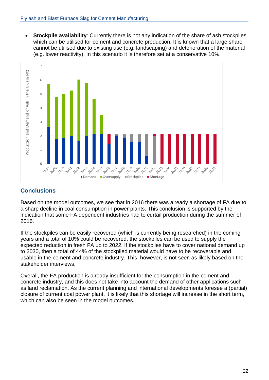**Stockpile availability:** Currently there is not any indication of the share of ash stockpiles which can be utilised for cement and concrete production. It is known that a large share cannot be utilised due to existing use (e.g. landscaping) and deterioration of the material (e.g. lower reactivity). In this scenario it is therefore set at a conservative 10%.



#### **Conclusions**

Based on the model outcomes, we see that in 2016 there was already a shortage of FA due to a sharp decline in coal consumption in power plants. This conclusion is supported by the indication that some FA dependent industries had to curtail production during the summer of 2016.

If the stockpiles can be easily recovered (which is currently being researched) in the coming years and a total of 10% could be recovered, the stockpiles can be used to supply the expected reduction in fresh FA up to 2022. If the stockpiles have to cover national demand up to 2030, then a total of 44% of the stockpiled material would have to be recoverable and usable in the cement and concrete industry. This, however, is not seen as likely based on the stakeholder interviews.

Overall, the FA production is already insufficient for the consumption in the cement and concrete industry, and this does not take into account the demand of other applications such as land reclamation. As the current planning and international developments foresee a (partial) closure of current coal power plant, it is likely that this shortage will increase in the short term, which can also be seen in the model outcomes.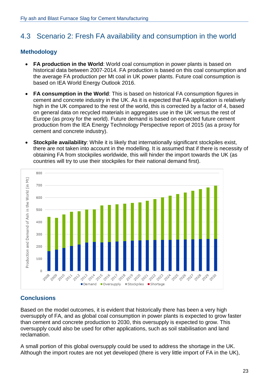## <span id="page-22-0"></span>4.3 Scenario 2: Fresh FA availability and consumption in the world

#### **Methodology**

- **FA production in the World:** World coal consumption in power plants is based on historical data between 2007-2014. FA production is based on this coal consumption and the average FA production per Mt coal in UK power plants. Future coal consumption is based on IEA World Energy Outlook 2016.
- **FA consumption in the World**: This is based on historical FA consumption figures in cement and concrete industry in the UK. As it is expected that FA application is relatively high in the UK compared to the rest of the world, this is corrected by a factor of 4, based on general data on recycled materials in aggregates use in the UK versus the rest of Europe (as proxy for the world). Future demand is based on expected future cement production from the IEA Energy Technology Perspective report of 2015 (as a proxy for cement and concrete industry).
- **Stockpile availability:** While it is likely that internationally significant stockpiles exist, there are not taken into account in the modelling. It is assumed that if there is necessity of obtaining FA from stockpiles worldwide, this will hinder the import towards the UK (as countries will try to use their stockpiles for their national demand first).



#### **Conclusions**

Based on the model outcomes, it is evident that historically there has been a very high oversupply of FA, and as global coal consumption in power plants is expected to grow faster than cement and concrete production to 2030, this oversupply is expected to grow. This oversupply could also be used for other applications, such as soil stabilisation and land reclamation.

A small portion of this global oversupply could be used to address the shortage in the UK. Although the import routes are not yet developed (there is very little import of FA in the UK),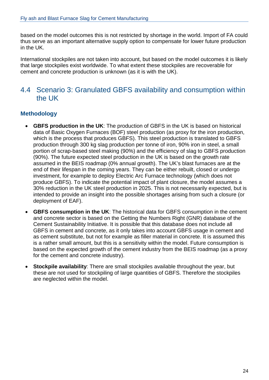based on the model outcomes this is not restricted by shortage in the world. Import of FA could thus serve as an important alternative supply option to compensate for lower future production in the UK.

International stockpiles are not taken into account, but based on the model outcomes it is likely that large stockpiles exist worldwide. To what extent these stockpiles are recoverable for cement and concrete production is unknown (as it is with the UK).

### <span id="page-23-0"></span>4.4 Scenario 3: Granulated GBFS availability and consumption within the UK

#### **Methodology**

- **GBFS production in the UK**: The production of GBFS in the UK is based on historical data of Basic Oxygen Furnaces (BOF) steel production (as proxy for the iron production, which is the process that produces GBFS). This steel production is translated to GBFS production through 300 kg slag production per tonne of iron, 90% iron in steel, a small portion of scrap-based steel making (90%) and the efficiency of slag to GBFS production (90%). The future expected steel production in the UK is based on the growth rate assumed in the BEIS roadmap (0% annual growth). The UK's blast furnaces are at the end of their lifespan in the coming years. They can be either rebuilt, closed or undergo investment, for example to deploy Electric Arc Furnace technology (which does not produce GBFS). To indicate the potential impact of plant closure, the model assumes a 30% reduction in the UK steel production in 2025. This is not necessarily expected, but is intended to provide an insight into the possible shortages arising from such a closure (or deployment of EAF).
- **GBFS consumption in the UK**: The historical data for GBFS consumption in the cement and concrete sector is based on the Getting the Numbers Right (GNR) database of the Cement Sustainability Initiative. It is possible that this database does not include all GBFS in cement and concrete, as it only takes into account GBFS usage in cement and as cement substitute, but not for example as filler material in concrete. It is assumed this is a rather small amount, but this is a sensitivity within the model. Future consumption is based on the expected growth of the cement industry from the BEIS roadmap (as a proxy for the cement and concrete industry).
- **Stockpile availability**: There are small stockpiles available throughout the year, but these are not used for stockpiling of large quantities of GBFS. Therefore the stockpiles are neglected within the model.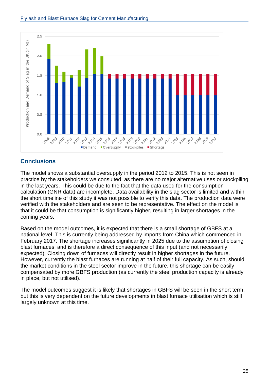

#### **Conclusions**

The model shows a substantial oversupply in the period 2012 to 2015. This is not seen in practice by the stakeholders we consulted, as there are no major alternative uses or stockpiling in the last years. This could be due to the fact that the data used for the consumption calculation (GNR data) are incomplete. Data availability in the slag sector is limited and within the short timeline of this study it was not possible to verify this data. The production data were verified with the stakeholders and are seen to be representative. The effect on the model is that it could be that consumption is significantly higher, resulting in larger shortages in the coming years.

Based on the model outcomes, it is expected that there is a small shortage of GBFS at a national level. This is currently being addressed by imports from China which commenced in February 2017. The shortage increases significantly in 2025 due to the assumption of closing blast furnaces, and is therefore a direct consequence of this input (and not necessarily expected). Closing down of furnaces will directly result in higher shortages in the future. However, currently the blast furnaces are running at half of their full capacity. As such, should the market conditions in the steel sector improve in the future, this shortage can be easily compensated by more GBFS production (as currently the steel production capacity is already in place, but not utilised).

The model outcomes suggest it is likely that shortages in GBFS will be seen in the short term, but this is very dependent on the future developments in blast furnace utilisation which is still largely unknown at this time.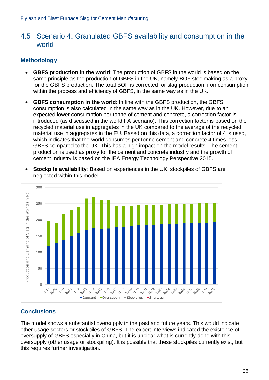### <span id="page-25-0"></span>4.5 Scenario 4: Granulated GBFS availability and consumption in the world

#### **Methodology**

- **GBFS production in the world**: The production of GBFS in the world is based on the same principle as the production of GBFS in the UK, namely BOF steelmaking as a proxy for the GBFS production. The total BOF is corrected for slag production, iron consumption within the process and efficiency of GBFS, in the same way as in the UK.
- **GBFS consumption in the world**: In line with the GBFS production, the GBFS consumption is also calculated in the same way as in the UK. However, due to an expected lower consumption per tonne of cement and concrete, a correction factor is introduced (as discussed in the world FA scenario). This correction factor is based on the recycled material use in aggregates in the UK compared to the average of the recycled material use in aggregates in the EU. Based on this data, a correction factor of 4 is used, which indicates that the world consumes per tonne cement and concrete 4 times less GBFS compared to the UK. This has a high impact on the model results. The cement production is used as proxy for the cement and concrete industry and the growth of cement industry is based on the IEA Energy Technology Perspective 2015.
- **Stockpile availability**: Based on experiences in the UK, stockpiles of GBFS are neglected within this model.



#### **Conclusions**

The model shows a substantial oversupply in the past and future years. This would indicate other usage sectors or stockpiles of GBFS. The expert interviews indicated the existence of oversupply of GBFS especially in China, but it is unclear what is currently done with this oversupply (other usage or stockpiling). It is possible that these stockpiles currently exist, but this requires further investigation.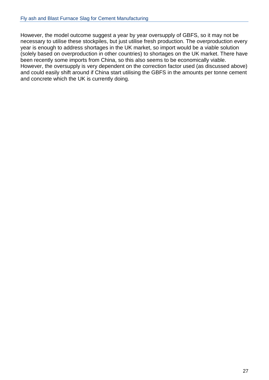However, the model outcome suggest a year by year oversupply of GBFS, so it may not be necessary to utilise these stockpiles, but just utilise fresh production. The overproduction every year is enough to address shortages in the UK market, so import would be a viable solution (solely based on overproduction in other countries) to shortages on the UK market. There have been recently some imports from China, so this also seems to be economically viable. However, the oversupply is very dependent on the correction factor used (as discussed above) and could easily shift around if China start utilising the GBFS in the amounts per tonne cement and concrete which the UK is currently doing.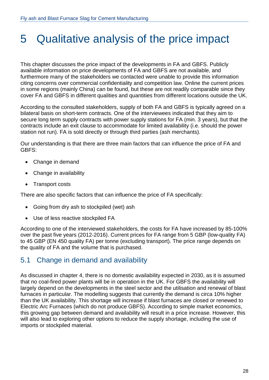## <span id="page-27-0"></span>5 Qualitative analysis of the price impact

This chapter discusses the price impact of the developments in FA and GBFS. Publicly available information on price developments of FA and GBFS are not available, and furthermore many of the stakeholders we contacted were unable to provide this information citing concerns over commercial confidentiality and competition law. Online the current prices in some regions (mainly China) can be found, but these are not readily comparable since they cover FA and GBFS in different qualities and quantities from different locations outside the UK.

According to the consulted stakeholders, supply of both FA and GBFS is typically agreed on a bilateral basis on short-term contracts. One of the interviewees indicated that they aim to secure long term supply contracts with power supply stations for FA (min. 3 years), but that the contracts include an exit clause to accommodate for limited availability (i.e. should the power station not run). FA is sold directly or through third parties (ash merchants).

Our understanding is that there are three main factors that can influence the price of FA and GBFS:

- Change in demand
- Change in availability
- Transport costs

There are also specific factors that can influence the price of FA specifically:

- Going from dry ash to stockpiled (wet) ash
- Use of less reactive stockpiled FA

According to one of the interviewed stakeholders, the costs for FA have increased by 85-100% over the past five years (2012-2016). Current prices for FA range from 5 GBP (low-quality FA) to 45 GBP (EN 450 quality FA) per tonne (excluding transport). The price range depends on the quality of FA and the volume that is purchased.

### <span id="page-27-1"></span>5.1 Change in demand and availability

As discussed in chapter 4, there is no domestic availability expected in 2030, as it is assumed that no coal-fired power plants will be in operation in the UK. For GBFS the availability will largely depend on the developments in the steel sector and the utilisation and renewal of blast furnaces in particular. The modelling suggests that currently the demand is circa 10% higher than the UK availability. This shortage will increase if blast furnaces are closed or renewed to Electric Arc Furnaces (which do not produce GBFS). According to simple market economics, this growing gap between demand and availability will result in a price increase. However, this will also lead to exploring other options to reduce the supply shortage, including the use of imports or stockpiled material.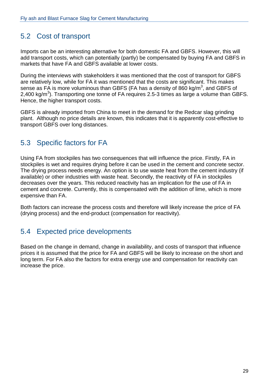## <span id="page-28-0"></span>5.2 Cost of transport

Imports can be an interesting alternative for both domestic FA and GBFS. However, this will add transport costs, which can potentially (partly) be compensated by buying FA and GBFS in markets that have FA and GBFS available at lower costs.

During the interviews with stakeholders it was mentioned that the cost of transport for GBFS are relatively low, while for FA it was mentioned that the costs are significant. This makes sense as FA is more voluminous than GBFS (FA has a density of 860 kg/m<sup>3</sup>, and GBFS of 2,400 kg/m<sup>3</sup>). Transporting one tonne of FA requires 2.5-3 times as large a volume than GBFS. Hence, the higher transport costs.

GBFS is already imported from China to meet in the demand for the Redcar slag grinding plant. Although no price details are known, this indicates that it is apparently cost-effective to transport GBFS over long distances.

## <span id="page-28-1"></span>5.3 Specific factors for FA

Using FA from stockpiles has two consequences that will influence the price. Firstly, FA in stockpiles is wet and requires drying before it can be used in the cement and concrete sector. The drying process needs energy. An option is to use waste heat from the cement industry (if available) or other industries with waste heat. Secondly, the reactivity of FA in stockpiles decreases over the years. This reduced reactivity has an implication for the use of FA in cement and concrete. Currently, this is compensated with the addition of lime, which is more expensive than FA.

Both factors can increase the process costs and therefore will likely increase the price of FA (drying process) and the end-product (compensation for reactivity).

## <span id="page-28-2"></span>5.4 Expected price developments

Based on the change in demand, change in availability, and costs of transport that influence prices it is assumed that the price for FA and GBFS will be likely to increase on the short and long term. For FA also the factors for extra energy use and compensation for reactivity can increase the price.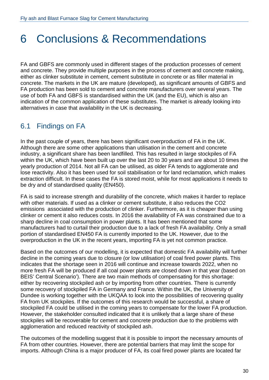## <span id="page-29-0"></span>6 Conclusions & Recommendations

FA and GBFS are commonly used in different stages of the production processes of cement and concrete. They provide multiple purposes in the process of cement and concrete making, either as clinker substitute in cement, cement substitute in concrete or as filler material in concrete. The markets in the UK are mature (developed), as significant amounts of GBFS and FA production has been sold to cement and concrete manufacturers over several years. The use of both FA and GBFS is standardised within the UK (and the EU), which is also an indication of the common application of these substitutes. The market is already looking into alternatives in case that availability in the UK is decreasing.

## <span id="page-29-1"></span>6.1 Findings on FA

In the past couple of years, there has been significant overproduction of FA in the UK. Although there are some other applications than utilisation in the cement and concrete industry, a significant share has been landfilled. This has resulted in large stockpiles of FA within the UK, which have been built up over the last 20 to 30 years and are about 10 times the yearly production of 2014. Not all FA can be utilised, as older FA tends to agglomerate and lose reactivity. Also it has been used for soil stabilisation or for land reclamation, which makes extraction difficult. In these cases the FA is stored moist, while for most applications it needs to be dry and of standardised quality (EN450).

FA is said to increase strength and durability of the concrete, which makes it harder to replace with other materials. If used as a clinker or cement substitute, it also reduces the CO2 emissions associated with the production of clinker. Furthermore, as it is cheaper than using clinker or cement it also reduces costs. In 2016 the availability of FA was constrained due to a sharp decline in coal consumption in power plants. It has been mentioned that some manufacturers had to curtail their production due to a lack of fresh FA availability. Only a small portion of standardised EN450 FA is currently imported to the UK. However, due to the overproduction in the UK in the recent years, importing FA is yet not common practice.

Based on the outcomes of our modelling, it is expected that domestic FA availability will further decline in the coming years due to closure (or low utilisation) of coal fired power plants. This indicates that the shortage seen in 2016 will continue and increase towards 2022, when no more fresh FA will be produced if all coal power plants are closed down in that year (based on BEIS' Central Scenario'). There are two main methods of compensating for this shortage: either by recovering stockpiled ash or by importing from other countries. There is currently some recovery of stockpiled FA in Germany and France. Within the UK, the University of Dundee is working together with the UKQAA to look into the possibilities of recovering quality FA from UK stockpiles. If the outcomes of this research would be successful, a share of stockpiled FA could be utilised in the coming years to compensate for the lower FA production. However, the stakeholder consulted indicated that it is unlikely that a large share of these stockpiles will be recoverable for cement and concrete production due to the problems with agglomeration and reduced reactivity of stockpiled ash.

The outcomes of the modelling suggest that it is possible to import the necessary amounts of FA from other countries. However, there are potential barriers that may limit the scope for imports. Although China is a major producer of FA, its coal fired power plants are located far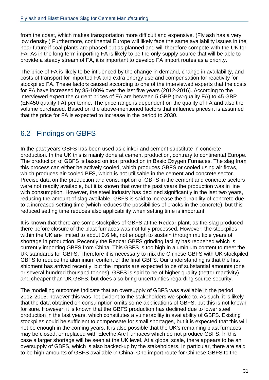from the coast, which makes transportation more difficult and expensive. (Fly ash has a very low density.) Furthermore, continental Europe will likely face the same availability issues in the near future if coal plants are phased out as planned and will therefore compete with the UK for FA. As in the long term importing FA is likely to be the only supply source that will be able to provide a steady stream of FA, it is important to develop FA import routes as a priority.

The price of FA is likely to be influenced by the change in demand, change in availability, and costs of transport for imported FA and extra energy use and compensation for reactivity for stockpiled FA. These factors caused according to one of the interviewed experts that the costs for FA have increased by 85-100% over the last five years (2012-2016). According to the interviewed expert the current prices of FA are between 5 GBP (low-quality FA) to 45 GBP (EN450 quality FA) per tonne. The price range is dependent on the quality of FA and also the volume purchased. Based on the above-mentioned factors that influence prices it is assumed that the price for FA is expected to increase in the period to 2030.

## <span id="page-30-0"></span>6.2 Findings on GBFS

In the past years GBFS has been used as clinker and cement substitute in concrete production. In the UK this is mainly done at cement production, contrary to continental Europe. The production of GBFS is based on iron production in Basic Oxygen Furnaces. The slag from this process can either be actively cooled, which produces GBFS or cooled using air flows, which produces air-cooled BFS, which is not utilisable in the cement and concrete sector. Precise data on the production and consumption of GBFS in the cement and concrete sectors were not readily available, but it is known that over the past years the production was in line with consumption. However, the steel industry has declined significantly in the last two years, reducing the amount of slag available. GBFS is said to increase the durability of concrete due to a increased setting time (which reduces the possibilities of cracks in the concrete), but this reduced setting time reduces also applicability when setting time is important.

It is known that there are some stockpiles of GBFS at the Redcar plant, as the slag produced there before closure of the blast furnaces was not fully processed. However, the stockpiles within the UK are limited to about 0.6 Mt, not enough to sustain through multiple years of shortage in production. Recently the Redcar GBFS grinding facility has reopened which is currently importing GBFS from China. This GBFS is too high in aluminium content to meet the UK standards for GBFS. Therefore it is necessary to mix the Chinese GBFS with UK stockpiled GBFS to reduce the aluminium content of the final GBFS. Our understanding is that the first shipment has arrived recently, but the imports are expected to be of substantial amounts (one or several hundred thousand tonnes). GBFS is said to be of higher quality (better reactivity) and cheaper than UK GBFS, but does also bring uncertainties regarding source security.

The modelling outcomes indicate that an oversupply of GBFS was available in the period 2012-2015, however this was not evident to the stakeholders we spoke to. As such, it is likely that the data obtained on consumption omits some applications of GBFS, but this is not known for sure. However, it is known that the GBFS production has declined due to lower steel production in the last years, which constitutes a vulnerability in availability of GBFS. Existing stockpiles could be sufficient to compensate for small shortages, but it is expected that this will not be enough in the coming years. It is also possible that the UK's remaining blast furnaces may be closed, or replaced with Electric Arc Furnaces which do not produce GBFS. In this case a larger shortage will be seen at the UK level. At a global scale, there appears to be an oversupply of GBFS, which is also backed-up by the stakeholders. In particular, there are said to be high amounts of GBFS available in China. One import route for Chinese GBFS to the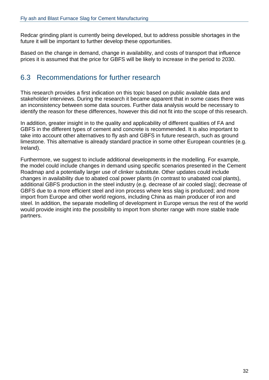Redcar grinding plant is currently being developed, but to address possible shortages in the future it will be important to further develop these opportunities.

Based on the change in demand, change in availability, and costs of transport that influence prices it is assumed that the price for GBFS will be likely to increase in the period to 2030.

### <span id="page-31-0"></span>6.3 Recommendations for further research

This research provides a first indication on this topic based on public available data and stakeholder interviews. During the research it became apparent that in some cases there was an inconsistency between some data sources. Further data analysis would be necessary to identify the reason for these differences, however this did not fit into the scope of this research.

In addition, greater insight in to the quality and applicability of different qualities of FA and GBFS in the different types of cement and concrete is recommended. It is also important to take into account other alternatives to fly ash and GBFS in future research, such as ground limestone. This alternative is already standard practice in some other European countries (e.g. Ireland).

Furthermore, we suggest to include additional developments in the modelling. For example, the model could include changes in demand using specific scenarios presented in the Cement Roadmap and a potentially larger use of clinker substitute. Other updates could include changes in availability due to abated coal power plants (in contrast to unabated coal plants), additional GBFS production in the steel industry (e.g. decrease of air cooled slag); decrease of GBFS due to a more efficient steel and iron process where less slag is produced; and more import from Europe and other world regions, including China as main producer of iron and steel. In addition, the separate modelling of development in Europe versus the rest of the world would provide insight into the possibility to import from shorter range with more stable trade partners.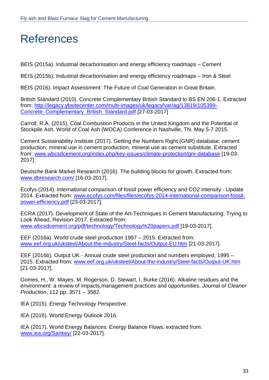## <span id="page-32-0"></span>References

BEIS (2015a). Industrial decarbonisation and energy efficiency roadmaps – Cement

BEIS (2015b). Industrial decarbonisation and energy efficiency roadmaps – Iron & Steel

BEIS (2016). Impact Assessment: The Future of Coal Generation in Great Britain.

British Standard (2010). Concrete Complementary British Standard to BS EN 206-1. Extracted from: [http://legacy.ybsitecenter.com/multi-images/uk/legacy/var/ag/13819/105399-](http://legacy.ybsitecenter.com/multi-images/uk/legacy/var/ag/13819/105399-Concrete_Complementary_British_Standard.pdf) [Concrete\\_Complementary\\_British\\_Standard.pdf](http://legacy.ybsitecenter.com/multi-images/uk/legacy/var/ag/13819/105399-Concrete_Complementary_British_Standard.pdf) [27-03-2017]

Carroll, R.A. (2015). Coal Combustion Products in the United Kingdom and the Potential of Stockpile Ash. World of Coal Ash (WOCA) Conference in Nashville, TN. May 5-7 2015.

Cement Sustainability Institute (2017). Getting the Numbers Right (GNR) database: cement production, mineral use in cement production, mineral use as cement substitute. Extracted from: [www.wbcsdcement.org/index.php/key-issues/climate-protection/gnr-database](http://www.wbcsdcement.org/index.php/key-issues/climate-protection/gnr-database) [19-03- 2017].

Deutsche Bank Market Research (2016). The building blocks for growth. Extracted from: [www.dbresearch.com/](https://www.dbresearch.com/) [16-03-2017].

Ecofys (2014). International comparison of fossil power efficiency and CO2 intensity - Update 2014. Extracted from: [www.ecofys.com/files/files/ecofys-2014-international-comparison-fossil](http://www.ecofys.com/files/files/ecofys-2014-international-comparison-fossil-power-efficiency.pdf)[power-efficiency.pdf](http://www.ecofys.com/files/files/ecofys-2014-international-comparison-fossil-power-efficiency.pdf) [23-03-2017].

ECRA (2017). Development of State of the Art-Techniques in Cement Manufacturing: Trying to Look Ahead, Revision 2017. Extracted from: [www.wbcsdcement.org/pdf/technology/Technology%20papers.pdf](http://www.wbcsdcement.org/pdf/technology/Technology%20papers.pdf) [19-03-2017].

EEF (2016a). World crude steel production 1997 – 2015. Extracted from: [www.eef.org.uk/uksteel/About-the-industry/Steel-facts/Output-EU.htm](http://www.eef.org.uk/uksteel/About-the-industry/Steel-facts/Output-EU.htm) [21-03-2017].

EEF (2016b). Output UK - Annual crude steel production and numbers employed, 1995 – 2015. Extracted from: [www.eef.org.uk/uksteel/About-the-industry/Steel-facts/Output-UK.htm](http://www.eef.org.uk/uksteel/About-the-industry/Steel-facts/Output-UK.htm) [21-03-2017].

Gomes, H., W. Mayes, M. Rogerson, D. Stewart, I. Burke (2016). Alkaline residues and the environment: a review of impacts,management practices and opportunities. *Journal of Cleaner Production*, 112 pp. 3571 – 3582.

IEA (2015). Energy Technology Perspective.

IEA (2016). World Energy Outlook 2016.

IEA (2017). World Energy Balances: Energy Balance Flows, extracted from: [www.iea.org/Sankey/](http://www.iea.org/Sankey/) [22-03-2017].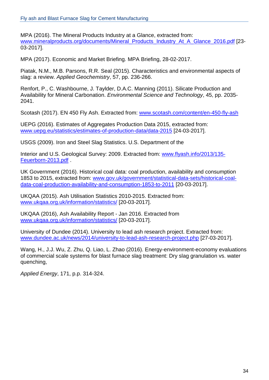MPA (2016). The Mineral Products Industry at a Glance, extracted from: [www.mineralproducts.org/documents/Mineral\\_Products\\_Industry\\_At\\_A\\_Glance\\_2016.pdf](http://www.mineralproducts.org/documents/Mineral_Products_Industry_At_A_Glance_2016.pdf) [23-03-2017].

MPA (2017). Economic and Market Briefing. MPA Briefing, 28-02-2017.

Piatak, N.M., M.B. Parsons, R.R. Seal (2015). Characteristics and environmental aspects of slag: a review. *Applied Geochemistry*, 57, pp. 236-266.

Renfort, P., C. Washbourne, J. Taylder, D.A.C. Manning (2011). Silicate Production and Availability for Mineral Carbonation. *Environmental Science and Technology*, 45, pp. 2035- 2041.

Scotash (2017). EN 450 Fly Ash. Extracted from: [www.scotash.com/content/en-450-fly-ash](http://www.scotash.com/content/en-450-fly-ash) 

UEPG (2016). Estimates of Aggregates Production Data 2015, extracted from: [www.uepg.eu/statistics/estimates-of-production-data/data-2015](http://www.uepg.eu/statistics/estimates-of-production-data/data-2015) [24-03-2017].

USGS (2009). Iron and Steel Slag Statistics. U.S. Department of the

Interior and U.S. Geological Survey: 2009. Extracted from: [www.flyash.info/2013/135-](http://www.flyash.info/2013/135-Feuerborn-2013.pdf) [Feuerborn-2013.pdf](http://www.flyash.info/2013/135-Feuerborn-2013.pdf) .

UK Government (2016). Historical coal data: coal production, availability and consumption 1853 to 2015, extracted from: [www.gov.uk/government/statistical-data-sets/historical-coal](https://www.gov.uk/government/statistical-data-sets/historical-coal-data-coal-production-availability-and-consumption-1853-to-2011)[data-coal-production-availability-and-consumption-1853-to-2011](https://www.gov.uk/government/statistical-data-sets/historical-coal-data-coal-production-availability-and-consumption-1853-to-2011) [20-03-2017].

UKQAA (2015). Ash Utilisation Statistics 2010-2015. Extracted from: [www.ukqaa.org.uk/information/statistics/](http://www.ukqaa.org.uk/information/statistics/) [20-03-2017].

UKQAA (2016), Ash Availability Report - Jan 2016. Extracted from [www.ukqaa.org.uk/information/statistics/](http://www.ukqaa.org.uk/information/statistics/) [20-03-2017].

University of Dundee (2014). University to lead ash research project. Extracted from: [www.dundee.ac.uk/news/2014/university-to-lead-ash-research-project.php](https://www.dundee.ac.uk/news/2014/university-to-lead-ash-research-project.php) [27-03-2017].

Wang, H., J.J. Wu, Z. Zhu, Q. Liao, L. Zhao (2016). Energy-environment-economy evaluations of commercial scale systems for blast furnace slag treatment: Dry slag granulation vs. water quenching,

*Applied Energy*, 171, p.p. 314-324.